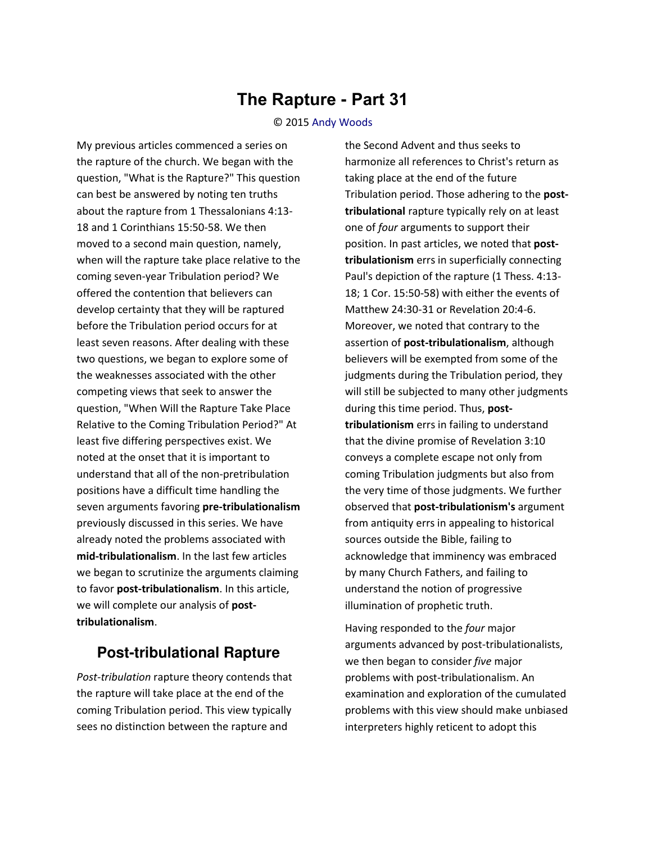## **The Rapture - Part 31**

## © 2015 [Andy Woods](http://www.spiritandtruth.org/id/aw.htm)

My previous articles commenced a series on the rapture of the church. We began with the question, "What is the Rapture?" This question can best be answered by noting ten truths about the rapture from 1 Thessalonians 4:13- 18 and 1 Corinthians 15:50-58. We then moved to a second main question, namely, when will the rapture take place relative to the coming seven-year Tribulation period? We offered the contention that believers can develop certainty that they will be raptured before the Tribulation period occurs for at least seven reasons. After dealing with these two questions, we began to explore some of the weaknesses associated with the other competing views that seek to answer the question, "When Will the Rapture Take Place Relative to the Coming Tribulation Period?" At least five differing perspectives exist. We noted at the onset that it is important to understand that all of the non-pretribulation positions have a difficult time handling the seven arguments favoring **pre-tribulationalism** previously discussed in this series. We have already noted the problems associated with **mid-tribulationalism**. In the last few articles we began to scrutinize the arguments claiming to favor **post-tribulationalism**. In this article, we will complete our analysis of **posttribulationalism**.

## **Post-tribulational Rapture**

*Post-tribulation* rapture theory contends that the rapture will take place at the end of the coming Tribulation period. This view typically sees no distinction between the rapture and

the Second Advent and thus seeks to harmonize all references to Christ's return as taking place at the end of the future Tribulation period. Those adhering to the **posttribulational** rapture typically rely on at least one of *four* arguments to support their position. In past articles, we noted that **posttribulationism** errs in superficially connecting Paul's depiction of the rapture (1 Thess. 4:13- 18; 1 Cor. 15:50-58) with either the events of Matthew 24:30-31 or Revelation 20:4-6. Moreover, we noted that contrary to the assertion of **post-tribulationalism**, although believers will be exempted from some of the judgments during the Tribulation period, they will still be subjected to many other judgments during this time period. Thus, **posttribulationism** errs in failing to understand that the divine promise of Revelation 3:10 conveys a complete escape not only from coming Tribulation judgments but also from the very time of those judgments. We further observed that **post-tribulationism's** argument from antiquity errs in appealing to historical sources outside the Bible, failing to acknowledge that imminency was embraced by many Church Fathers, and failing to understand the notion of progressive illumination of prophetic truth.

Having responded to the *four* major arguments advanced by post-tribulationalists, we then began to consider *five* major problems with post-tribulationalism. An examination and exploration of the cumulated problems with this view should make unbiased interpreters highly reticent to adopt this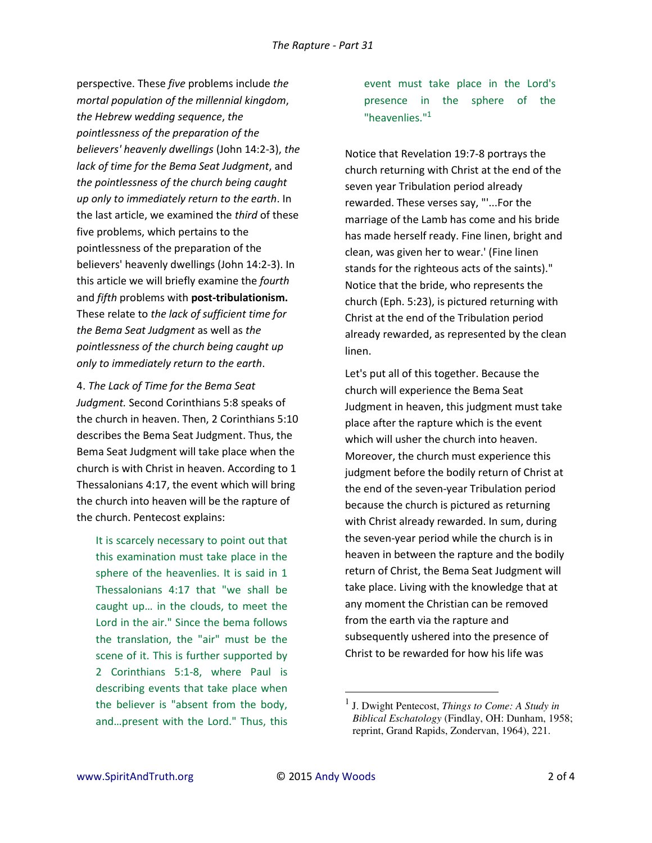perspective. These *five* problems include *the mortal population of the millennial kingdom*, *the Hebrew wedding sequence*, *the pointlessness of the preparation of the believers' heavenly dwellings* (John 14:2-3), *the lack of time for the Bema Seat Judgment*, and *the pointlessness of the church being caught up only to immediately return to the earth*. In the last article, we examined the *third* of these five problems, which pertains to the pointlessness of the preparation of the believers' heavenly dwellings (John 14:2-3). In this article we will briefly examine the *fourth*  and *fifth* problems with **post-tribulationism.** These relate to *the lack of sufficient time for the Bema Seat Judgment* as well as *the pointlessness of the church being caught up only to immediately return to the earth*.

4. *The Lack of Time for the Bema Seat Judgment.* Second Corinthians 5:8 speaks of the church in heaven. Then, 2 Corinthians 5:10 describes the Bema Seat Judgment. Thus, the Bema Seat Judgment will take place when the church is with Christ in heaven. According to 1 Thessalonians 4:17, the event which will bring the church into heaven will be the rapture of the church. Pentecost explains:

It is scarcely necessary to point out that this examination must take place in the sphere of the heavenlies. It is said in 1 Thessalonians 4:17 that "we shall be caught up... in the clouds, to meet the Lord in the air." Since the bema follows the translation, the "air" must be the scene of it. This is further supported by 2 Corinthians 5:1-8, where Paul is describing events that take place when the believer is "absent from the body, and…present with the Lord." Thus, this event must take place in the Lord's presence in the sphere of the "heavenlies."<sup>1</sup>

Notice that Revelation 19:7-8 portrays the church returning with Christ at the end of the seven year Tribulation period already rewarded. These verses say, "'...For the marriage of the Lamb has come and his bride has made herself ready. Fine linen, bright and clean, was given her to wear.' (Fine linen stands for the righteous acts of the saints)." Notice that the bride, who represents the church (Eph. 5:23), is pictured returning with Christ at the end of the Tribulation period already rewarded, as represented by the clean linen.

Let's put all of this together. Because the church will experience the Bema Seat Judgment in heaven, this judgment must take place after the rapture which is the event which will usher the church into heaven. Moreover, the church must experience this judgment before the bodily return of Christ at the end of the seven-year Tribulation period because the church is pictured as returning with Christ already rewarded. In sum, during the seven-year period while the church is in heaven in between the rapture and the bodily return of Christ, the Bema Seat Judgment will take place. Living with the knowledge that at any moment the Christian can be removed from the earth via the rapture and subsequently ushered into the presence of Christ to be rewarded for how his life was

l

<sup>1</sup> J. Dwight Pentecost, *Things to Come: A Study in Biblical Eschatology* (Findlay, OH: Dunham, 1958; reprint, Grand Rapids, Zondervan, 1964), 221.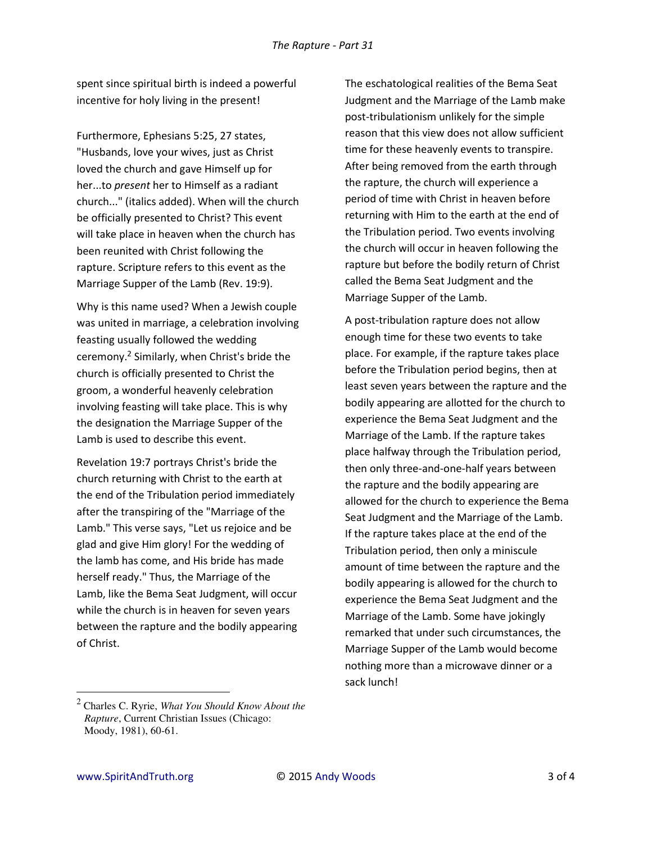spent since spiritual birth is indeed a powerful incentive for holy living in the present!

Furthermore, Ephesians 5:25, 27 states, "Husbands, love your wives, just as Christ loved the church and gave Himself up for her...to *present* her to Himself as a radiant church..." (italics added). When will the church be officially presented to Christ? This event will take place in heaven when the church has been reunited with Christ following the rapture. Scripture refers to this event as the Marriage Supper of the Lamb (Rev. 19:9).

Why is this name used? When a Jewish couple was united in marriage, a celebration involving feasting usually followed the wedding ceremony.<sup>2</sup> Similarly, when Christ's bride the church is officially presented to Christ the groom, a wonderful heavenly celebration involving feasting will take place. This is why the designation the Marriage Supper of the Lamb is used to describe this event.

Revelation 19:7 portrays Christ's bride the church returning with Christ to the earth at the end of the Tribulation period immediately after the transpiring of the "Marriage of the Lamb." This verse says, "Let us rejoice and be glad and give Him glory! For the wedding of the lamb has come, and His bride has made herself ready." Thus, the Marriage of the Lamb, like the Bema Seat Judgment, will occur while the church is in heaven for seven years between the rapture and the bodily appearing of Christ.

The eschatological realities of the Bema Seat Judgment and the Marriage of the Lamb make post-tribulationism unlikely for the simple reason that this view does not allow sufficient time for these heavenly events to transpire. After being removed from the earth through the rapture, the church will experience a period of time with Christ in heaven before returning with Him to the earth at the end of the Tribulation period. Two events involving the church will occur in heaven following the rapture but before the bodily return of Christ called the Bema Seat Judgment and the Marriage Supper of the Lamb.

A post-tribulation rapture does not allow enough time for these two events to take place. For example, if the rapture takes place before the Tribulation period begins, then at least seven years between the rapture and the bodily appearing are allotted for the church to experience the Bema Seat Judgment and the Marriage of the Lamb. If the rapture takes place halfway through the Tribulation period, then only three-and-one-half years between the rapture and the bodily appearing are allowed for the church to experience the Bema Seat Judgment and the Marriage of the Lamb. If the rapture takes place at the end of the Tribulation period, then only a miniscule amount of time between the rapture and the bodily appearing is allowed for the church to experience the Bema Seat Judgment and the Marriage of the Lamb. Some have jokingly remarked that under such circumstances, the Marriage Supper of the Lamb would become nothing more than a microwave dinner or a sack lunch!

l

<sup>2</sup> Charles C. Ryrie, *What You Should Know About the Rapture*, Current Christian Issues (Chicago: Moody, 1981), 60-61.